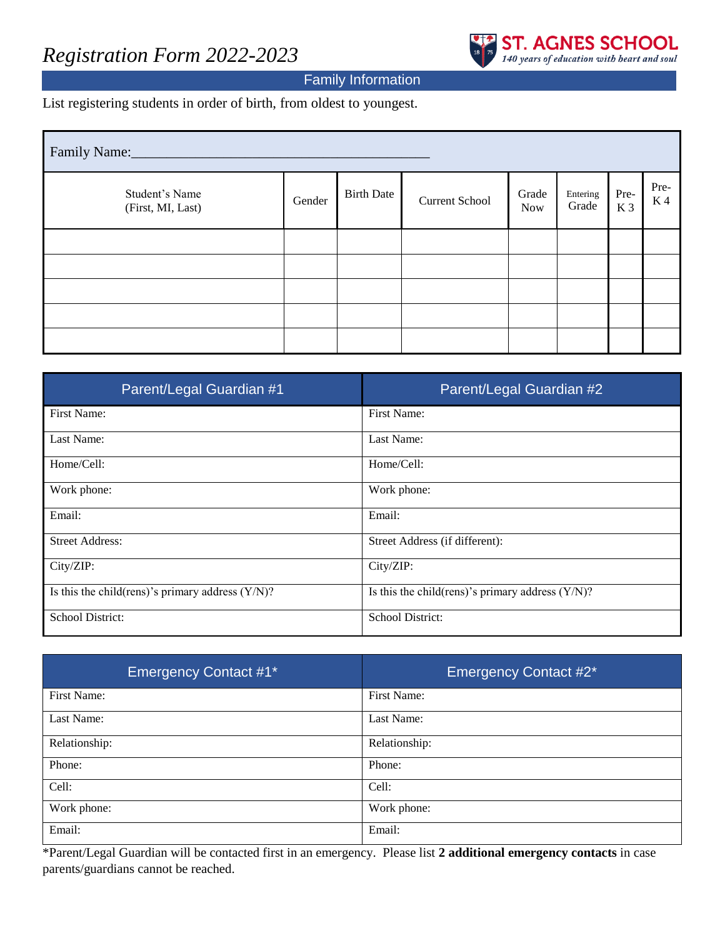## *Registration Form 2022-2023*



### Family Information

List registering students in order of birth, from oldest to youngest.

| Family Name:                        |        |                   |                       |                     |                   |             |                   |  |
|-------------------------------------|--------|-------------------|-----------------------|---------------------|-------------------|-------------|-------------------|--|
| Student's Name<br>(First, MI, Last) | Gender | <b>Birth Date</b> | <b>Current School</b> | Grade<br><b>Now</b> | Entering<br>Grade | Pre-<br>K 3 | Pre-<br><b>K4</b> |  |
|                                     |        |                   |                       |                     |                   |             |                   |  |
|                                     |        |                   |                       |                     |                   |             |                   |  |
|                                     |        |                   |                       |                     |                   |             |                   |  |
|                                     |        |                   |                       |                     |                   |             |                   |  |
|                                     |        |                   |                       |                     |                   |             |                   |  |

| Parent/Legal Guardian #1                             | Parent/Legal Guardian #2                             |
|------------------------------------------------------|------------------------------------------------------|
| First Name:                                          | First Name:                                          |
| Last Name:                                           | Last Name:                                           |
| Home/Cell:                                           | Home/Cell:                                           |
| Work phone:                                          | Work phone:                                          |
| Email:                                               | Email:                                               |
| <b>Street Address:</b>                               | Street Address (if different):                       |
| City/ZIP:                                            | City/ZIP:                                            |
| Is this the child (rens)'s primary address $(Y/N)$ ? | Is this the child (rens)'s primary address $(Y/N)$ ? |
| School District:                                     | School District:                                     |

| <b>Emergency Contact #1*</b> | <b>Emergency Contact #2*</b> |
|------------------------------|------------------------------|
| First Name:                  | First Name:                  |
| Last Name:                   | Last Name:                   |
| Relationship:                | Relationship:                |
| Phone:                       | Phone:                       |
| Cell:                        | Cell:                        |
| Work phone:                  | Work phone:                  |
| Email:                       | Email:                       |

\*Parent/Legal Guardian will be contacted first in an emergency. Please list **2 additional emergency contacts** in case parents/guardians cannot be reached.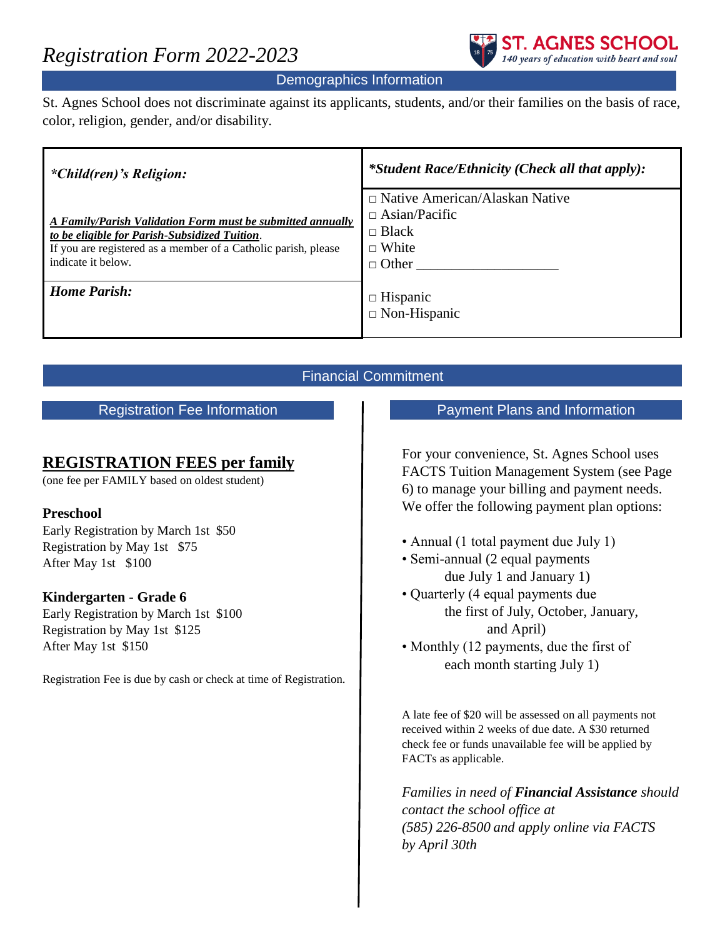

### Demographics Information

St. Agnes School does not discriminate against its applicants, students, and/or their families on the basis of race, color, religion, gender, and/or disability.

| <i>*Child(ren)'s Religion:</i>                                                                                                                                                                      | *Student Race/Ethnicity (Check all that apply):                                                               |
|-----------------------------------------------------------------------------------------------------------------------------------------------------------------------------------------------------|---------------------------------------------------------------------------------------------------------------|
| A Family/Parish Validation Form must be submitted annually<br>to be eligible for Parish-Subsidized Tuition.<br>If you are registered as a member of a Catholic parish, please<br>indicate it below. | $\Box$ Native American/Alaskan Native<br>$\Box$ Asian/Pacific<br>$\Box$ Black<br>$\Box$ White<br>$\Box$ Other |
| <b>Home Parish:</b>                                                                                                                                                                                 | $\Box$ Hispanic<br>$\Box$ Non-Hispanic                                                                        |

### Financial Commitment

Registration Fee Information

### **REGISTRATION FEES per family**

(one fee per FAMILY based on oldest student)

### **Preschool**

Early Registration by March 1st \$50 Registration by May 1st \$75 After May 1st \$100

### **Kindergarten - Grade 6**

Early Registration by March 1st \$100 Registration by May 1st \$125 After May 1st \$150

Registration Fee is due by cash or check at time of Registration.

### Payment Plans and Information

For your convenience, St. Agnes School uses FACTS Tuition Management System (see Page 6) to manage your billing and payment needs. We offer the following payment plan options:

- Annual (1 total payment due July 1)
- Semi-annual (2 equal payments) due July 1 and January 1)
- Quarterly (4 equal payments due the first of July, October, January, and April)
- Monthly (12 payments, due the first of each month starting July 1)

A late fee of \$20 will be assessed on all payments not received within 2 weeks of due date. A \$30 returned check fee or funds unavailable fee will be applied by FACTs as applicable.

*Families in need of Financial Assistance should contact the school office at (585) 226-8500 and apply online via FACTS by April 30th*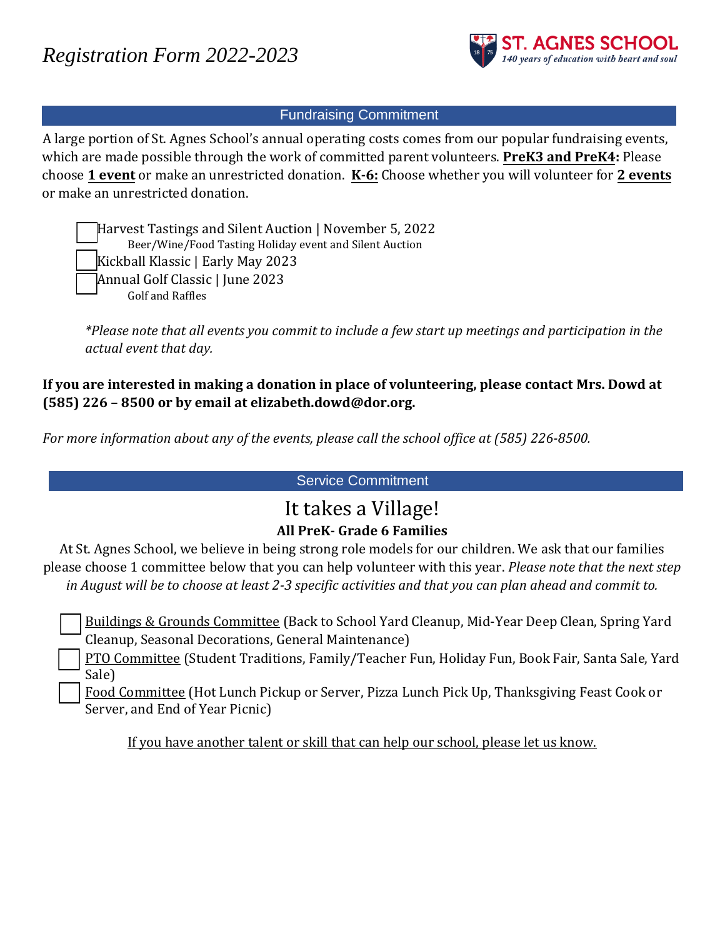

### Fundraising Commitment

A large portion of St. Agnes School's annual operating costs comes from our popular fundraising events, which are made possible through the work of committed parent volunteers. **PreK3 and PreK4:** Please choose **1 event** or make an unrestricted donation. **K-6:** Choose whether you will volunteer for **2 events** or make an unrestricted donation.

Harvest Tastings and Silent Auction | November 5, 2022 Beer/Wine/Food Tasting Holiday event and Silent Auction Kickball Klassic | Early May 2023 □ Annual Golf Classic | June 2023 Golf and Raffles

*\*Please note that all events you commit to include a few start up meetings and participation in the actual event that day.*

### **If you are interested in making a donation in place of volunteering, please contact Mrs. Dowd at (585) 226 – 8500 or by email at elizabeth.dowd@dor.org.**

*For more information about any of the events, please call the school office at (585) 226-8500.* 

Service Commitment

# It takes a Village!

## **All PreK- Grade 6 Families**

At St. Agnes School, we believe in being strong role models for our children. We ask that our families please choose 1 committee below that you can help volunteer with this year. *Please note that the next step in August will be to choose at least 2-3 specific activities and that you can plan ahead and commit to.*

 Buildings & Grounds Committee (Back to School Yard Cleanup, Mid-Year Deep Clean, Spring Yard Cleanup, Seasonal Decorations, General Maintenance)

 PTO Committee (Student Traditions, Family/Teacher Fun, Holiday Fun, Book Fair, Santa Sale, Yard Sale)

 Food Committee (Hot Lunch Pickup or Server, Pizza Lunch Pick Up, Thanksgiving Feast Cook or Server, and End of Year Picnic)

If you have another talent or skill that can help our school, please let us know.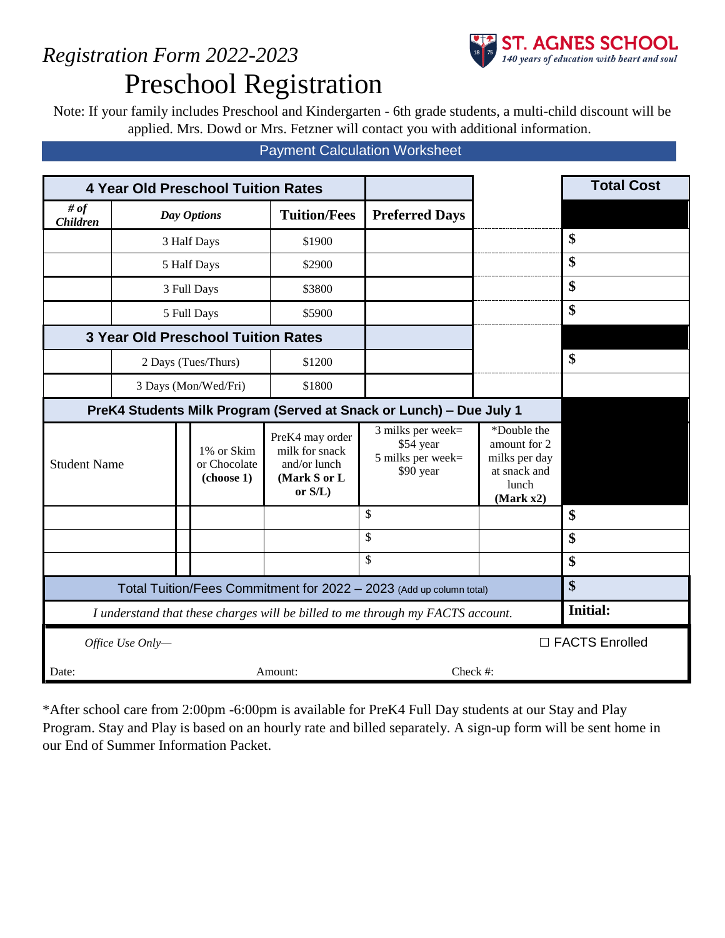# *Registration Form 2022-2023* Preschool Registration

**ST. AGNES SCHOOL**<br>140 years of education with heart and soul

Note: If your family includes Preschool and Kindergarten - 6th grade students, a multi-child discount will be applied. Mrs. Dowd or Mrs. Fetzner will contact you with additional information.

### Payment Calculation Worksheet

| <b>4 Year Old Preschool Tuition Rates</b>                                      |                                      |                                           |                                                                                 |                                                                  |                                                                                    | <b>Total Cost</b> |  |
|--------------------------------------------------------------------------------|--------------------------------------|-------------------------------------------|---------------------------------------------------------------------------------|------------------------------------------------------------------|------------------------------------------------------------------------------------|-------------------|--|
| # of<br><b>Children</b>                                                        | Day Options                          |                                           | <b>Tuition/Fees</b>                                                             | <b>Preferred Days</b>                                            |                                                                                    |                   |  |
|                                                                                |                                      | 3 Half Days                               | \$1900                                                                          |                                                                  |                                                                                    | \$                |  |
|                                                                                |                                      | 5 Half Days                               | \$2900                                                                          |                                                                  |                                                                                    | \$                |  |
|                                                                                |                                      | 3 Full Days                               | \$3800                                                                          |                                                                  |                                                                                    | \$                |  |
|                                                                                |                                      | 5 Full Days                               | \$5900                                                                          |                                                                  |                                                                                    | \$                |  |
|                                                                                |                                      | <b>3 Year Old Preschool Tuition Rates</b> |                                                                                 |                                                                  |                                                                                    |                   |  |
|                                                                                |                                      | 2 Days (Tues/Thurs)                       | \$1200                                                                          |                                                                  |                                                                                    | \$                |  |
|                                                                                | 3 Days (Mon/Wed/Fri)                 |                                           | \$1800                                                                          |                                                                  |                                                                                    |                   |  |
| PreK4 Students Milk Program (Served at Snack or Lunch) - Due July 1            |                                      |                                           |                                                                                 |                                                                  |                                                                                    |                   |  |
| <b>Student Name</b>                                                            |                                      | 1% or Skim<br>or Chocolate<br>(choose 1)  | PreK4 may order<br>milk for snack<br>and/or lunch<br>(Mark S or L<br>or $S/L$ ) | 3 milks per week=<br>\$54 year<br>5 milks per week=<br>\$90 year | *Double the<br>amount for 2<br>milks per day<br>at snack and<br>lunch<br>(Mark x2) |                   |  |
|                                                                                |                                      |                                           |                                                                                 | \$                                                               |                                                                                    | \$                |  |
|                                                                                |                                      |                                           |                                                                                 | \$                                                               |                                                                                    | \$                |  |
|                                                                                |                                      |                                           |                                                                                 | \$                                                               |                                                                                    | \$                |  |
| Total Tuition/Fees Commitment for 2022 - 2023 (Add up column total)            |                                      |                                           |                                                                                 |                                                                  |                                                                                    | \$                |  |
| I understand that these charges will be billed to me through my FACTS account. |                                      |                                           |                                                                                 | <b>Initial:</b>                                                  |                                                                                    |                   |  |
|                                                                                | □ FACTS Enrolled<br>Office Use Only- |                                           |                                                                                 |                                                                  |                                                                                    |                   |  |
| Check #:<br>Date:<br>Amount:                                                   |                                      |                                           |                                                                                 |                                                                  |                                                                                    |                   |  |

\*After school care from 2:00pm -6:00pm is available for PreK4 Full Day students at our Stay and Play Program. Stay and Play is based on an hourly rate and billed separately. A sign-up form will be sent home in our End of Summer Information Packet.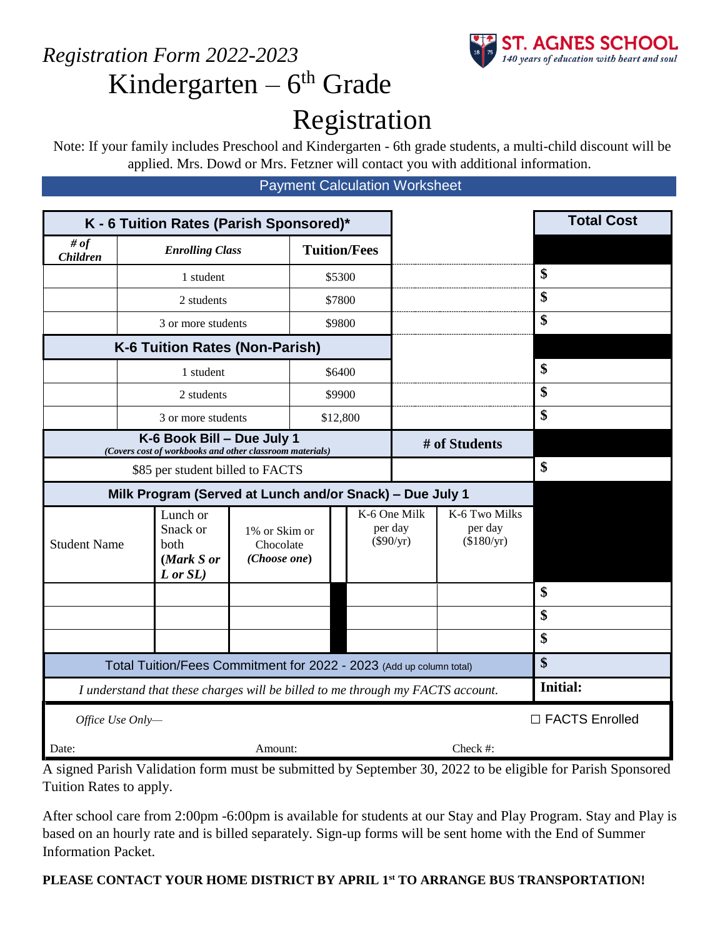

# *Registration Form 2022-2023* Kindergarten – 6<sup>th</sup> Grade Registration

Note: If your family includes Preschool and Kindergarten - 6th grade students, a multi-child discount will be applied. Mrs. Dowd or Mrs. Fetzner will contact you with additional information.

Payment Calculation Worksheet

| K - 6 Tuition Rates (Parish Sponsored)*                                                |  |                                                             |                                                                                      |                     |               |                                        | <b>Total Cost</b> |          |                  |
|----------------------------------------------------------------------------------------|--|-------------------------------------------------------------|--------------------------------------------------------------------------------------|---------------------|---------------|----------------------------------------|-------------------|----------|------------------|
| # $of$<br><b>Children</b>                                                              |  | <b>Enrolling Class</b>                                      |                                                                                      | <b>Tuition/Fees</b> |               |                                        |                   |          |                  |
|                                                                                        |  | 1 student                                                   |                                                                                      |                     | \$5300        |                                        |                   |          | \$               |
|                                                                                        |  | 2 students                                                  |                                                                                      |                     | \$7800        |                                        |                   |          | \$               |
|                                                                                        |  | 3 or more students                                          |                                                                                      | \$9800              |               |                                        |                   | \$       |                  |
|                                                                                        |  | K-6 Tuition Rates (Non-Parish)                              |                                                                                      |                     |               |                                        |                   |          |                  |
|                                                                                        |  | 1 student                                                   |                                                                                      |                     | \$6400        |                                        |                   |          | \$               |
|                                                                                        |  | 2 students                                                  |                                                                                      |                     | \$9900        |                                        |                   |          | \$               |
|                                                                                        |  | 3 or more students                                          |                                                                                      |                     | \$12,800      |                                        |                   |          | \$               |
| K-6 Book Bill - Due July 1<br>(Covers cost of workbooks and other classroom materials) |  |                                                             |                                                                                      |                     | # of Students |                                        |                   |          |                  |
|                                                                                        |  | \$85 per student billed to FACTS                            |                                                                                      |                     |               |                                        |                   |          | \$               |
|                                                                                        |  | Milk Program (Served at Lunch and/or Snack) - Due July 1    |                                                                                      |                     |               |                                        |                   |          |                  |
| <b>Student Name</b>                                                                    |  | Lunch or<br>Snack or<br>both<br>(Mark S or<br>$L$ or $SL$ ) | K-6 One Milk<br>per day<br>1% or Skim or<br>$(\$90/yr)$<br>Chocolate<br>(Choose one) |                     |               | K-6 Two Milks<br>per day<br>(\$180/yr) |                   |          |                  |
|                                                                                        |  |                                                             |                                                                                      |                     |               |                                        |                   |          | \$               |
|                                                                                        |  |                                                             |                                                                                      |                     |               |                                        |                   |          | \$               |
|                                                                                        |  |                                                             |                                                                                      |                     |               |                                        |                   |          | \$               |
| Total Tuition/Fees Commitment for 2022 - 2023 (Add up column total)                    |  |                                                             |                                                                                      |                     |               |                                        | \$                |          |                  |
| I understand that these charges will be billed to me through my FACTS account.         |  |                                                             |                                                                                      |                     |               | <b>Initial:</b>                        |                   |          |                  |
| Office Use Only-                                                                       |  |                                                             |                                                                                      |                     |               |                                        |                   |          | □ FACTS Enrolled |
| Date:                                                                                  |  |                                                             | Amount:                                                                              |                     |               |                                        |                   | Check #: |                  |

A signed Parish Validation form must be submitted by September 30, 2022 to be eligible for Parish Sponsored Tuition Rates to apply.

After school care from 2:00pm -6:00pm is available for students at our Stay and Play Program. Stay and Play is based on an hourly rate and is billed separately. Sign-up forms will be sent home with the End of Summer Information Packet.

### **PLEASE CONTACT YOUR HOME DISTRICT BY APRIL 1st TO ARRANGE BUS TRANSPORTATION!**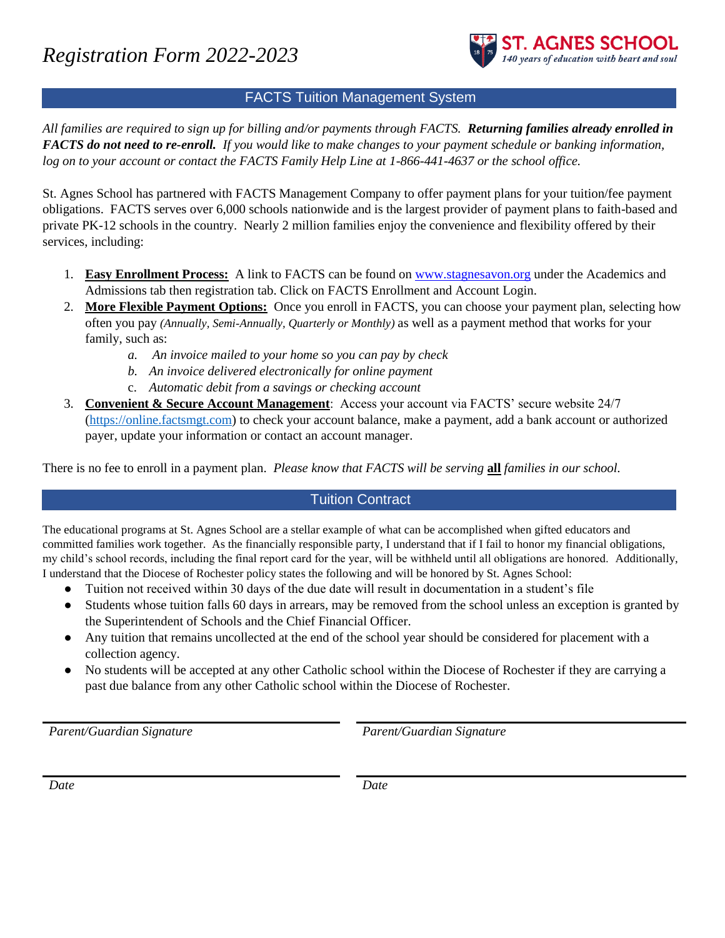

### FACTS Tuition Management System

*All families are required to sign up for billing and/or payments through FACTS. Returning families already enrolled in FACTS do not need to re-enroll. If you would like to make changes to your payment schedule or banking information, log on to your account or contact the FACTS Family Help Line at 1-866-441-4637 or the school office.*

St. Agnes School has partnered with FACTS Management Company to offer payment plans for your tuition/fee payment obligations. FACTS serves over 6,000 schools nationwide and is the largest provider of payment plans to faith-based and private PK-12 schools in the country. Nearly 2 million families enjoy the convenience and flexibility offered by their services, including:

- 1. **Easy Enrollment Process:** A link to FACTS can be found o[n www.stagnesavon.org](http://www.stagnesavon.org/) under the Academics and Admissions tab then registration tab. Click on FACTS Enrollment and Account Login.
- 2. **More Flexible Payment Options:** Once you enroll in FACTS, you can choose your payment plan, selecting how often you pay *(Annually, Semi-Annually, Quarterly or Monthly)* as well as a payment method that works for your family, such as:
	- *a. An invoice mailed to your home so you can pay by check*
	- *b. An invoice delivered electronically for online payment*
	- c. *Automatic debit from a savings or checking account*
- 3. **Convenient & Secure Account Management**: Access your account via FACTS' secure website 24/7 [\(https://online.factsmgt.com\)](https://online.factsmgt.com/) to check your account balance, make a payment, add a bank account or authorized payer, update your information or contact an account manager.

There is no fee to enroll in a payment plan. *Please know that FACTS will be serving* **all** *families in our school.*

### Tuition Contract

The educational programs at St. Agnes School are a stellar example of what can be accomplished when gifted educators and committed families work together. As the financially responsible party, I understand that if I fail to honor my financial obligations, my child's school records, including the final report card for the year, will be withheld until all obligations are honored. Additionally, I understand that the Diocese of Rochester policy states the following and will be honored by St. Agnes School:

- Tuition not received within 30 days of the due date will result in documentation in a student's file
- Students whose tuition falls 60 days in arrears, may be removed from the school unless an exception is granted by the Superintendent of Schools and the Chief Financial Officer.
- Any tuition that remains uncollected at the end of the school year should be considered for placement with a collection agency.
- No students will be accepted at any other Catholic school within the Diocese of Rochester if they are carrying a past due balance from any other Catholic school within the Diocese of Rochester.

*Parent/Guardian Signature Parent/Guardian Signature*

*Date Date*